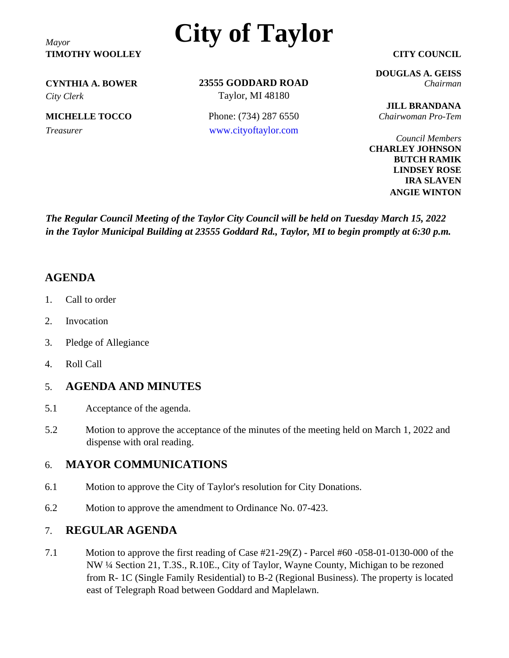**TIMOTHY WOOLLEY CITY COUNCIL**

# *Mayor* **City of Taylor**

*City Clerk* Taylor, MI 48180

**23555 GODDARD ROAD CYNTHIA A. BOWER** *Chairman*

**MICHELLE TOCCO** Phone: (734) 287 6550 *Chairwoman Pro-Tem Treasurer* [www.cityoftaylor.com](http://www.cityoftaylor.com/)

**DOUGLAS A. GEISS**

**JILL BRANDANA**

*Council Members* **CHARLEY JOHNSON BUTCH RAMIK LINDSEY ROSE IRA SLAVEN ANGIE WINTON**

*The Regular Council Meeting of the Taylor City Council will be held on Tuesday March 15, 2022 in the Taylor Municipal Building at 23555 Goddard Rd., Taylor, MI to begin promptly at 6:30 p.m.*

# **AGENDA**

- 1. Call to order
- 2. Invocation
- 3. Pledge of Allegiance
- 4. Roll Call

## 5. **AGENDA AND MINUTES**

- 5.1 Acceptance of the agenda.
- 5.2 Motion to approve the acceptance of the minutes of the meeting held on March 1, 2022 and dispense with oral reading.

# 6. **MAYOR COMMUNICATIONS**

- 6.1 Motion to approve the City of Taylor's resolution for City Donations.
- 6.2 Motion to approve the amendment to Ordinance No. 07-423.

## 7. **REGULAR AGENDA**

7.1 Motion to approve the first reading of Case #21-29(Z) - Parcel #60 -058-01-0130-000 of the NW ¼ Section 21, T.3S., R.10E., City of Taylor, Wayne County, Michigan to be rezoned from R- 1C (Single Family Residential) to B-2 (Regional Business). The property is located east of Telegraph Road between Goddard and Maplelawn.